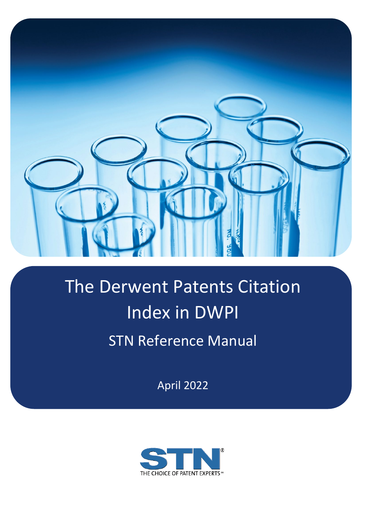

# The Derwent Patents Citation Index in DWPI STN Reference Manual

April 2022

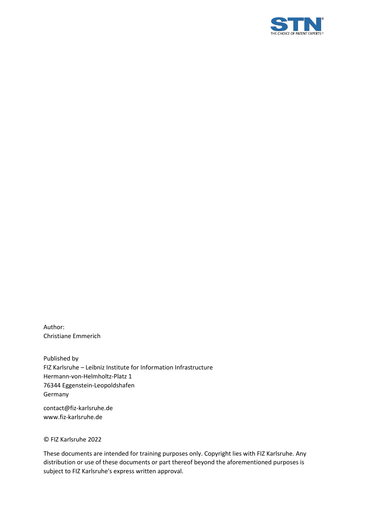

Author: Christiane Emmerich

Published by FIZ Karlsruhe – Leibniz Institute for Information Infrastructure Hermann-von-Helmholtz-Platz 1 76344 Eggenstein-Leopoldshafen Germany

contact@fiz-karlsruhe.de www.fiz-karlsruhe.de

© FIZ Karlsruhe 2022

These documents are intended for training purposes only. Copyright lies with FIZ Karlsruhe. Any distribution or use of these documents or part thereof beyond the aforementioned purposes is subject to FIZ Karlsruhe's express written approval.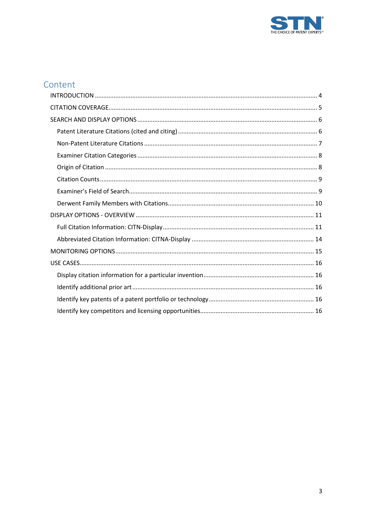

# Content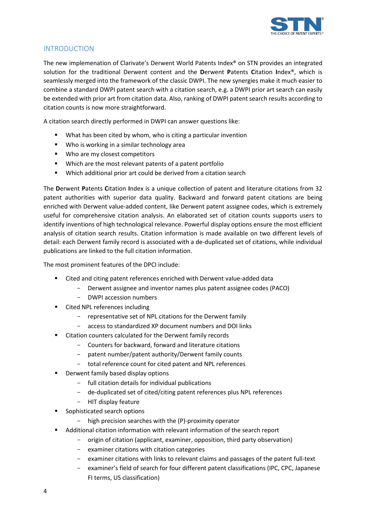

# <span id="page-3-0"></span>INTRODUCTION

The new implemenation of Clarivate's Derwent World Patents Index® on STN provides an integrated solution for the traditional Derwent content and the **D**erwent **P**atents **C**itation **I**ndex®, which is seamlessly merged into the framework of the classic DWPI. The new synergies make it much easier to combine a standard DWPI patent search with a citation search, e.g. a DWPI prior art search can easily be extended with prior art from citation data. Also, ranking of DWPI patent search results according to citation counts is now more straightforward.

A citation search directly performed in DWPI can answer questions like:

- What has been cited by whom, who is citing a particular invention
- **Who is working in a similar technology area**
- **Who are my closest competitors**
- Which are the most relevant patents of a patent portfolio
- Which additional prior art could be derived from a citation search

The **D**erwent **P**atents **C**itation **I**ndex is a unique collection of patent and literature citations from 32 patent authorities with superior data quality. Backward and forward patent citations are being enriched with Derwent value-added content, like Derwent patent assignee codes, which is extremely useful for comprehensive citation analysis. An elaborated set of citation counts supports users to identify inventions of high technological relevance. Powerful display options ensure the most efficient analysis of citation search results. Citation information is made available on two different levels of detail: each Derwent family record is associated with a de-duplicated set of citations, while individual publications are linked to the full citation information.

The most prominent features of the DPCI include:

- Cited and citing patent references enriched with Derwent value-added data
	- Derwent assignee and inventor names plus patent assignee codes (PACO)
	- DWPI accession numbers
- Cited NPL references including
	- representative set of NPL citations for the Derwent family
	- access to standardized XP document numbers and DOI links
- Citation counters calculated for the Derwent family records
	- Counters for backward, forward and literature citations
	- patent number/patent authority/Derwent family counts
	- total reference count for cited patent and NPL references
- Derwent family based display options
	- full citation details for individual publications
	- de-duplicated set of cited/citing patent references plus NPL references
	- HIT display feature
- Sophisticated search options
	- high precision searches with the (P)-proximity operator
- Additional citation information with relevant information of the search report
	- origin of citation (applicant, examiner, opposition, third party observation)
	- examiner citations with citation categories
	- examiner citations with links to relevant claims and passages of the patent full-text
	- examiner's field of search for four different patent classifications (IPC, CPC, Japanese FI terms, US classification)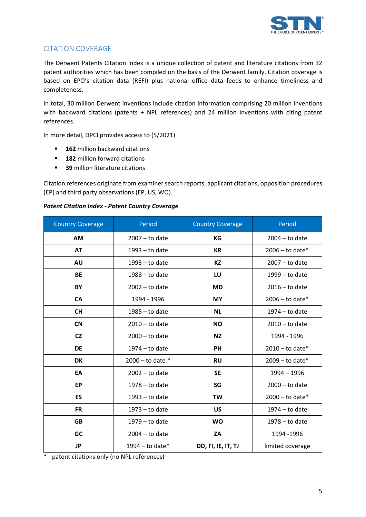

# <span id="page-4-0"></span>CITATION COVERAGE

The Derwent Patents Citation Index is a unique collection of patent and literature citations from 32 patent authorities which has been compiled on the basis of the Derwent family. Citation coverage is based on EPO's citation data (REFI) plus national office data feeds to enhance timeliness and completeness.

In total, 30 million Derwent inventions include citation information comprising 20 million inventions with backward citations (patents + NPL references) and 24 million inventions with citing patent references.

In more detail, DPCI provides access to (5/2021)

- **162** million backward citations
- **182** million forward citations
- **39** million literature citations

Citation references originate from examiner search reports, applicant citations, opposition procedures (EP) and third party observations (EP, US, WO).

#### *Patent Citation Index - Patent Country Coverage*

| <b>Country Coverage</b> | Period               | <b>Country Coverage</b> | Period            |
|-------------------------|----------------------|-------------------------|-------------------|
| AM                      | $2007 - to date$     | KG                      | $2004 - to date$  |
| <b>AT</b>               | $1993 -$ to date     | <b>KR</b>               | $2006 -$ to date* |
| <b>AU</b>               | $1993 -$ to date     | KZ                      | $2007 - to date$  |
| <b>BE</b>               | $1988 -$ to date     | LU                      | $1999 -$ to date  |
| BY                      | $2002 -$ to date     | <b>MD</b>               | $2016 -$ to date  |
| CA                      | 1994 - 1996          | <b>MY</b>               | $2006 -$ to date* |
| <b>CH</b>               | $1985 -$ to date     | <b>NL</b>               | $1974 -$ to date  |
| <b>CN</b>               | $2010 -$ to date     | <b>NO</b>               | $2010 -$ to date  |
| <b>CZ</b>               | $2000 -$ to date     | <b>NZ</b>               | 1994 - 1996       |
| <b>DE</b>               | $1974 -$ to date     | <b>PH</b>               | $2010 -$ to date* |
| <b>DK</b>               | $2000 -$ to date $*$ | <b>RU</b>               | $2009 -$ to date* |
| EA                      | $2002 -$ to date     | <b>SE</b>               | $1994 - 1996$     |
| <b>EP</b>               | $1978 -$ to date     | SG                      | $2000 - to date$  |
| ES                      | $1993 -$ to date     | TW                      | $2000 -$ to date* |
| <b>FR</b>               | $1973 -$ to date     | US                      | $1974 -$ to date  |
| <b>GB</b>               | $1979 -$ to date     | <b>WO</b>               | $1978 -$ to date  |
| GC                      | $2004 -$ to date     | ZA                      | 1994 - 1996       |
| <b>JP</b>               | 1994 – to date $*$   | DD, FI, IE, IT, TJ      | limited coverage  |

\* - patent citations only (no NPL references)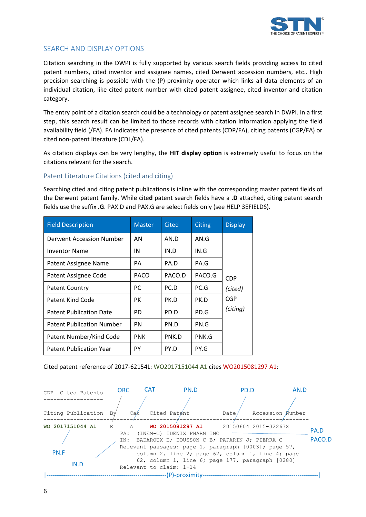

# <span id="page-5-0"></span>SEARCH AND DISPLAY OPTIONS

Citation searching in the DWPI is fully supported by various search fields providing access to cited patent numbers, cited inventor and assignee names, cited Derwent accession numbers, etc.. High precision searching is possible with the (P)-proximity operator which links all data elements of an individual citation, like cited patent number with cited patent assignee, cited inventor and citation category.

The entry point of a citation search could be a technology or patent assignee search in DWPI. In a first step, this search result can be limited to those records with citation information applying the field availability field (/FA). FA indicates the presence of cited patents (CDP/FA), citing patents (CGP/FA) or cited non-patent literature (CDL/FA).

As citation displays can be very lengthy, the **HIT display option** is extremely useful to focus on the citations relevant for the search.

#### <span id="page-5-1"></span>Patent Literature Citations (cited and citing)

Searching cited and citing patent publications is inline with the corresponding master patent fields of the Derwent patent family. While cite**d** patent search fields have a **.D** attached, citin**g** patent search fields use the suffix **.G**. PAX.D and PAX.G are select fields only (see HELP 3EFIELDS).

| <b>Field Description</b>         | <b>Master</b> | <b>Cited</b> | <b>Citing</b> | <b>Display</b> |
|----------------------------------|---------------|--------------|---------------|----------------|
| Derwent Accession Number         | AN            | AN.D         | AN.G          |                |
| Inventor Name                    | IN            | IN.D         | IN.G          |                |
| Patent Assignee Name             | PА            | PA.D         | PA.G          |                |
| Patent Assignee Code             | <b>PACO</b>   | PACO.D       | PACO.G        | <b>CDP</b>     |
| <b>Patent Country</b>            | PC.           | PC.D         | PC.G          | (cited)        |
| <b>Patent Kind Code</b>          | PК            | PK.D         | PK.D          | <b>CGP</b>     |
| <b>Patent Publication Date</b>   | PD.           | PD.D         | PD.G          | (citing)       |
| <b>Patent Publication Number</b> | PN            | PN.D         | PN.G          |                |
| Patent Number/Kind Code          | <b>PNK</b>    | PNK.D        | PNK.G         |                |
| <b>Patent Publication Year</b>   | PY            | PY.D         | PY.G          |                |

Cited patent reference of 2017-62154L: WO2017151044 A1 cites WO2015081297 A1:

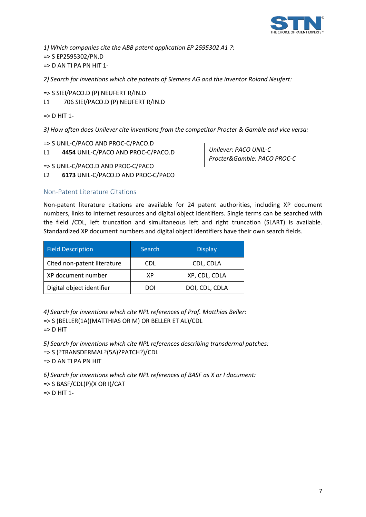

*1) Which companies cite the ABB patent application EP 2595302 A1 ?:*  => S EP2595302/PN.D  $\Rightarrow$  D AN TI PA PN HIT 1-

*2) Search for inventions which cite patents of Siemens AG and the inventor Roland Neufert:* 

=> S SIEI/PACO.D (P) NEUFERT R/IN.D L1 706 SIEI/PACO.D (P) NEUFERT R/IN.D

 $\Rightarrow$  D HIT 1-

*3) How often does Unilever cite inventions from the competitor Procter & Gamble and vice versa:* 

=> S UNIL-C/PACO AND PROC-C/PACO.D L1 **4454** UNIL-C/PACO AND PROC-C/PACO.D

*Unilever: PACO UNIL-C Procter&Gamble: PACO PROC-C*

=> S UNIL-C/PACO.D AND PROC-C/PACO

L2 **6173** UNIL-C/PACO.D AND PROC-C/PACO

#### <span id="page-6-0"></span>Non-Patent Literature Citations

Non-patent literature citations are available for 24 patent authorities, including XP document numbers, links to Internet resources and digital object identifiers. Single terms can be searched with the field /CDL, left truncation and simultaneous left and right truncation (SLART) is available. Standardized XP document numbers and digital object identifiers have their own search fields.

| <b>Field Description</b>    | <b>Search</b> | <b>Display</b> |
|-----------------------------|---------------|----------------|
| Cited non-patent literature | CDL           | CDL, CDLA      |
| XP document number          | ХP            | XP, CDL, CDLA  |
| Digital object identifier   | DOI           | DOI, CDL, CDLA |

*4) Search for inventions which cite NPL references of Prof. Matthias Beller:* => S (BELLER(1A)(MATTHIAS OR M) OR BELLER ET AL)/CDL => D HIT

*5) Search for inventions which cite NPL references describing transdermal patches:*  => S (?TRANSDERMAL?(5A)?PATCH?)/CDL => D AN TI PA PN HIT

*6) Search for inventions which cite NPL references of BASF as X or I document:*  => S BASF/CDL(P)(X OR I)/CAT => D HIT 1-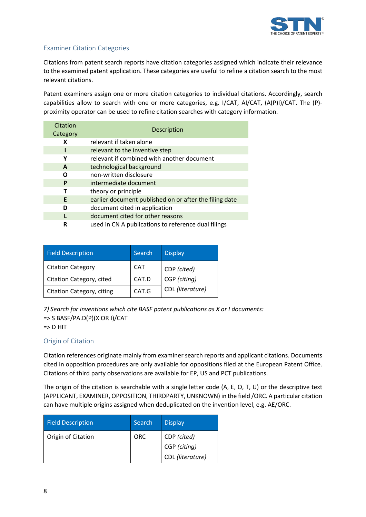

# <span id="page-7-0"></span>Examiner Citation Categories

Citations from patent search reports have citation categories assigned which indicate their relevance to the examined patent application. These categories are useful to refine a citation search to the most relevant citations.

Patent examiners assign one or more citation categories to individual citations. Accordingly, search capabilities allow to search with one or more categories, e.g. I/CAT, AI/CAT, (A(P)I)/CAT. The (P) proximity operator can be used to refine citation searches with category information.

| Citation<br>Category | Description                                            |
|----------------------|--------------------------------------------------------|
| х                    | relevant if taken alone                                |
|                      | relevant to the inventive step                         |
| Υ                    | relevant if combined with another document             |
| A                    | technological background                               |
| Ω                    | non-written disclosure                                 |
| P                    | intermediate document                                  |
|                      | theory or principle                                    |
| E                    | earlier document published on or after the filing date |
| D                    | document cited in application                          |
|                      | document cited for other reasons                       |
| R                    | used in CN A publications to reference dual filings    |

| <b>Field Description</b>  | <b>Search</b> | <b>Display</b>   |
|---------------------------|---------------|------------------|
| <b>Citation Category</b>  | CAT           | CDP (cited)      |
| Citation Category, cited  | CAT.D         | CGP (citing)     |
| Citation Category, citing | CAT.G         | CDL (literature) |

*7) Search for inventions which cite BASF patent publications as X or I documents:*   $\Rightarrow$  S BASF/PA.D(P)(X OR I)/CAT  $\Rightarrow$  D HIT

#### <span id="page-7-1"></span>Origin of Citation

Citation references originate mainly from examiner search reports and applicant citations. Documents cited in opposition procedures are only available for oppositions filed at the European Patent Office. Citations of third party observations are available for EP, US and PCT publications.

The origin of the citation is searchable with a single letter code (A, E, O, T, U) or the descriptive text (APPLICANT, EXAMINER, OPPOSITION, THIRDPARTY, UNKNOWN) in the field /ORC. A particular citation can have multiple origins assigned when deduplicated on the invention level, e.g. AE/ORC.

| <b>Field Description</b> | <b>Search</b> | <b>Display</b>   |
|--------------------------|---------------|------------------|
| Origin of Citation       | <b>ORC</b>    | CDP (cited)      |
|                          |               | CGP (citing)     |
|                          |               | CDL (literature) |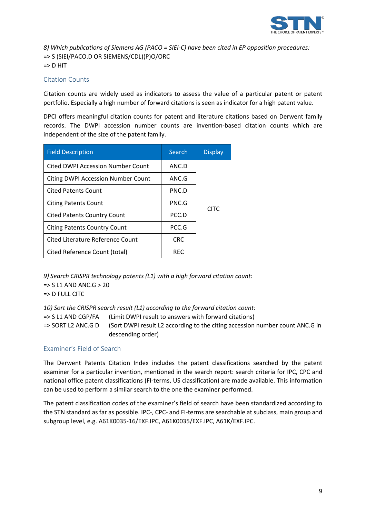

*8) Which publications of Siemens AG (PACO = SIEI-C) have been cited in EP opposition procedures:*  => S (SIEI/PACO.D OR SIEMENS/CDL)(P)O/ORC  $\Rightarrow$  D HIT

## <span id="page-8-0"></span>Citation Counts

Citation counts are widely used as indicators to assess the value of a particular patent or patent portfolio. Especially a high number of forward citations is seen as indicator for a high patent value.

DPCI offers meaningful citation counts for patent and literature citations based on Derwent family records. The DWPI accession number counts are invention-based citation counts which are independent of the size of the patent family.

| <b>Field Description</b>                  | Search     | <b>Display</b> |
|-------------------------------------------|------------|----------------|
| <b>Cited DWPI Accession Number Count</b>  | ANC.D      |                |
| <b>Citing DWPI Accession Number Count</b> | ANC.G      |                |
| <b>Cited Patents Count</b>                | PNC.D      |                |
| <b>Citing Patents Count</b>               | PNC.G      | <b>CITC</b>    |
| <b>Cited Patents Country Count</b>        | PCC.D      |                |
| <b>Citing Patents Country Count</b>       | PCC.G      |                |
| Cited Literature Reference Count          | <b>CRC</b> |                |
| Cited Reference Count (total)             | <b>REC</b> |                |

*9) Search CRISPR technology patents (L1) with a high forward citation count:*   $\Rightarrow$  S L1 AND ANC.G  $>$  20  $\Rightarrow$  D FULL CITC

*10) Sort the CRISPR search result (L1) according to the forward citation count:* 

=> S L1 AND CGP/FA (Limit DWPI result to answers with forward citations)

=> SORT L2 ANC.G D (Sort DWPI result L2 according to the citing accession number count ANC.G in descending order)

#### <span id="page-8-1"></span>Examiner's Field of Search

The Derwent Patents Citation Index includes the patent classifications searched by the patent examiner for a particular invention, mentioned in the search report: search criteria for IPC, CPC and national office patent classifications (FI-terms, US classification) are made available. This information can be used to perform a similar search to the one the examiner performed.

The patent classification codes of the examiner's field of search have been standardized according to the STN standard as far as possible. IPC-, CPC- and FI-terms are searchable at subclass, main group and subgroup level, e.g. A61K0035-16/EXF.IPC, A61K0035/EXF.IPC, A61K/EXF.IPC.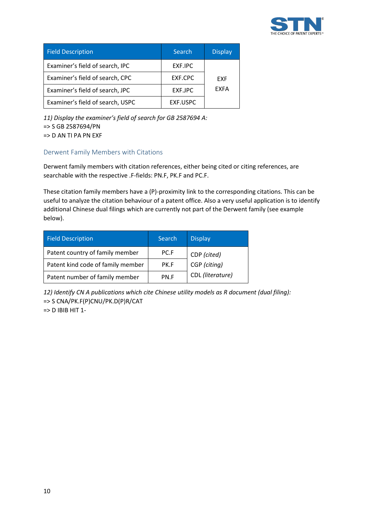

| <b>Field Description</b>         | Search   | <b>Display</b> |
|----------------------------------|----------|----------------|
| Examiner's field of search, IPC  | EXF.IPC  |                |
| Examiner's field of search, CPC  | EXF.CPC  | <b>EXF</b>     |
| Examiner's field of search, JPC  | EXF.JPC  | <b>EXFA</b>    |
| Examiner's field of search, USPC | EXF.USPC |                |

*11) Display the examiner's field of search for GB 2587694 A:*  => S GB 2587694/PN => D AN TI PA PN EXF

## <span id="page-9-0"></span>Derwent Family Members with Citations

Derwent family members with citation references, either being cited or citing references, are searchable with the respective .F-fields: PN.F, PK.F and PC.F.

These citation family members have a (P)-proximity link to the corresponding citations. This can be useful to analyze the citation behaviour of a patent office. Also a very useful application is to identify additional Chinese dual filings which are currently not part of the Derwent family (see example below).

| <b>Field Description</b>          | <b>Search</b> | <b>Display</b>   |
|-----------------------------------|---------------|------------------|
| Patent country of family member   | PC.F          | CDP (cited)      |
| Patent kind code of family member | PK F          | CGP (citing)     |
| Patent number of family member    | PN.F          | CDL (literature) |

*12) Identify CN A publications which cite Chinese utility models as R document (dual filing):*  => S CNA/PK.F(P)CNU/PK.D(P)R/CAT

 $=$   $>$  D IBIB HIT 1-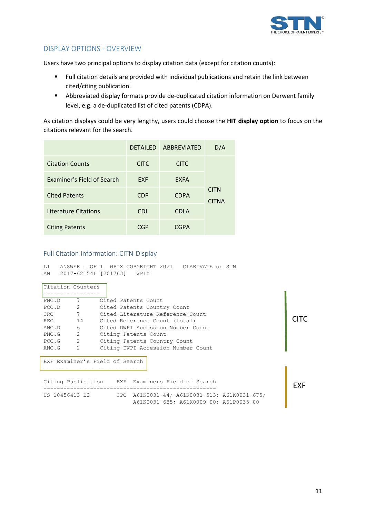

# <span id="page-10-0"></span>DISPLAY OPTIONS - OVERVIEW

Users have two principal options to display citation data (except for citation counts):

- Full citation details are provided with individual publications and retain the link between cited/citing publication.
- Abbreviated display formats provide de-duplicated citation information on Derwent family level, e.g. a de-duplicated list of cited patents (CDPA).

As citation displays could be very lengthy, users could choose the **HIT display option** to focus on the citations relevant for the search.

|                             | <b>DETAILED</b> | ABBREVIATED | D/A                         |
|-----------------------------|-----------------|-------------|-----------------------------|
| <b>Citation Counts</b>      | <b>CITC</b>     | <b>CITC</b> |                             |
| Examiner's Field of Search  | <b>EXF</b>      | <b>EXFA</b> |                             |
| <b>Cited Patents</b>        | <b>CDP</b>      | <b>CDPA</b> | <b>CITN</b><br><b>CITNA</b> |
| <b>Literature Citations</b> | <b>CDL</b>      | <b>CDLA</b> |                             |
| <b>Citing Patents</b>       | CGP             | <b>CGPA</b> |                             |

#### <span id="page-10-1"></span>Full Citation Information: CITN-Display

L1 ANSWER 1 OF 1 WPIX COPYRIGHT 2021 CLARIVATE on STN AN 2017-62154L [201763] WPIX

| Citation Counters |                |                                                  |            |
|-------------------|----------------|--------------------------------------------------|------------|
|                   |                |                                                  |            |
| PNC.D             | 7              | Cited Patents Count                              |            |
| PCC.D             | $\sim$ 2       | Cited Patents Country Count                      |            |
| CRC.              | 7              | Cited Literature Reference Count                 |            |
| <b>REC</b>        | 14             | Cited Reference Count (total)                    |            |
| ANC.D             | 6              | Cited DWPI Accession Number Count                |            |
| PNC.G             | 2              | Citing Patents Count                             |            |
| PCC.G             | $\sim$ 2       | Citing Patents Country Count                     |            |
| ANC.G             | $\overline{2}$ | Citing DWPI Accession Number Count               |            |
|                   |                | EXF Examiner's Field of Search                   |            |
|                   |                | Citing Publication EXF Examiners Field of Search | <b>FXF</b> |
| US 10456413 B2    |                | CPC A61K0031-44; A61K0031-513; A61K0031-675;     |            |

A61K0031-685; A61K0009-00; A61P0035-00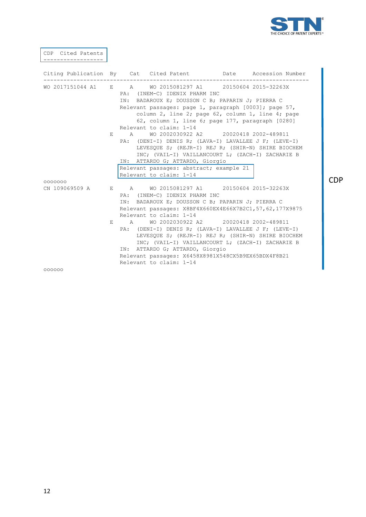

CDP

CDP Cited Patents ------------------ Citing Publication By Cat Cited Patent Date Accession Number -------------------------------------------------------------------------------- WO 2017151044 A1 E A WO 2015081297 A1 20150604 2015-32263X PA: (INEM-C) IDENIX PHARM INC IN: BADAROUX E; DOUSSON C B; PAPARIN J; PIERRA C Relevant passages: page 1, paragraph [0003]; page 57, column 2, line 2; page 62, column 1, line 4; page 62, column 1, line 6; page 177, paragraph [0280] Relevant to claim: 1-14<br>E A WO 2002030922 E A WO 2002030922 A2 20020418 2002-489811 PA: (DENI-I) DENIS R; (LAVA-I) LAVALLEE J F; (LEVE-I) LEVESQUE S; (REJR-I) REJ R; (SHIR-N) SHIRE BIOCHEM INC; (VAIL-I) VAILLANCOURT L; (ZACH-I) ZACHARIE B IN: ATTARDO G; ATTARDO, Giorgio Relevant passages: abstract; example 21 Relevant to claim: 1-14 ooooooo<br>CN 109069509 A E A WO 2015081297 A1 20150604 2015-32263X PA: (INEM-C) IDENIX PHARM INC IN: BADAROUX E; DOUSSON C B; PAPARIN J; PIERRA C Relevant passages: X8BF4X660EX4E66X7B2C1,57,62,177X9875 Relevant to claim: 1-14 E A WO 2002030922 A2 20020418 2002-489811 PA: (DENI-I) DENIS R; (LAVA-I) LAVALLEE J F; (LEVE-I) LEVESQUE S; (REJR-I) REJ R; (SHIR-N) SHIRE BIOCHEM INC; (VAIL-I) VAILLANCOURT L; (ZACH-I) ZACHARIE B IN: ATTARDO G; ATTARDO, Giorgio Relevant passages: X6458X8981X548CX5B9EX65BDX4F8B21 Relevant to claim: 1-14 oooooo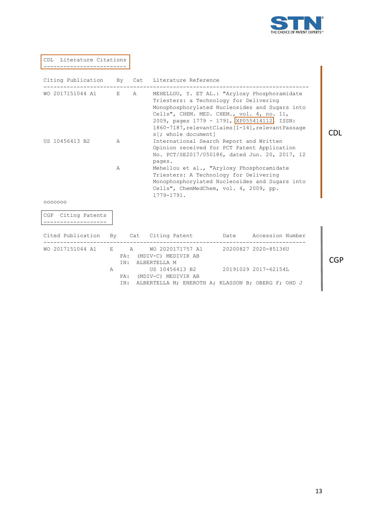

CDL Literature Citations -------------------------

|                      |   |   | Citing Publication By Cat Literature Reference                                                                                                                                                                                                                                                                    |  |            |
|----------------------|---|---|-------------------------------------------------------------------------------------------------------------------------------------------------------------------------------------------------------------------------------------------------------------------------------------------------------------------|--|------------|
| WO 2017151044 A1 E   |   | A | MEHELLOU, Y. ET AL.: "Aryloxy Phosphoramidate<br>Triesters: a Technology for Delivering<br>Monophosphorylated Nucleosides and Sugars into<br>Cells", CHEM. MED. CHEM., vol. 4, no. 11,<br>2009, pages 1779 - 1791, XP055414112, ISSN:<br>1860-7187, relevantClaims [1-14], relevantPassage<br>s[; whole document] |  | CDL        |
| US 10456413 B2       | A |   | International Search Report and Written<br>Opinion received for PCT Patent Application<br>No. PCT/SE2017/050186, dated Jun. 20, 2017, 12<br>pages.                                                                                                                                                                |  |            |
|                      | Α |   | Mehellou et al., "Aryloxy Phosphoramidate<br>Triesters: A Technology for Delivering<br>Monophosphorylated Nucleosides and Sugars into<br>Cells", ChemMedChem, vol. 4, 2009, pp.<br>1779-1791.                                                                                                                     |  |            |
| 0000000              |   |   |                                                                                                                                                                                                                                                                                                                   |  |            |
| CGP Citing Patents   |   |   |                                                                                                                                                                                                                                                                                                                   |  |            |
|                      |   |   | Cited Publication By Cat Citing Patent Date Accession Number                                                                                                                                                                                                                                                      |  |            |
| WO 2017151044 A1 E A |   |   | WO 2020171757 A1 20200827 2020-85136U<br>PA: (MDIV-C) MEDIVIR AB<br>IN: ALBERTELLA M                                                                                                                                                                                                                              |  | <b>CGP</b> |
|                      | A |   | US 10456413 B2 20191029 2017-62154L<br>PA: (MDIV-C) MEDIVIR AB<br>IN: ALBERTELLA M; ENEROTH A; KLASSON B; OBERG F; OHD J                                                                                                                                                                                          |  |            |

CGP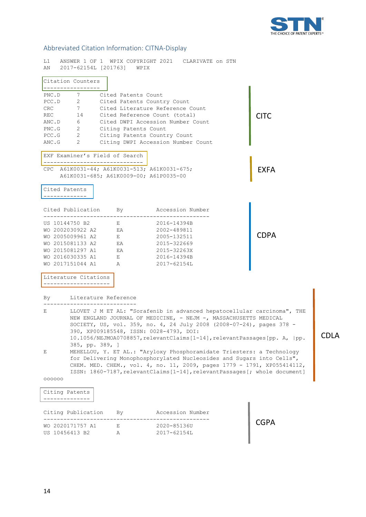

# <span id="page-13-0"></span>Abbreviated Citation Information: CITNA-Display

| L1 -<br>AN<br>2017-62154L [201763] WPIX                                                                                                                                                                                                                                                                                                                                                                 |                                         | ANSWER 1 OF 1 WPIX COPYRIGHT 2021 CLARIVATE ON STN                                                    |             |  |  |  |
|---------------------------------------------------------------------------------------------------------------------------------------------------------------------------------------------------------------------------------------------------------------------------------------------------------------------------------------------------------------------------------------------------------|-----------------------------------------|-------------------------------------------------------------------------------------------------------|-------------|--|--|--|
| Citation Counters                                                                                                                                                                                                                                                                                                                                                                                       |                                         |                                                                                                       |             |  |  |  |
| -----------------<br>PNC.D<br>7 Cited Patents Count<br>2 Cited Patents Country Count<br>PCC.D<br>7 Cited Literature Reference Count<br>CRC<br>REC 14 Cited Reference Count (total)<br><b>CITC</b><br>ANC.D 6 Cited DWPI Accession Number Count<br>PNC.G 2 Citing Patents Count<br>PCC.G 2 Citing Patents Country Count<br>$ANC.G$ 2<br>Citing DWPI Accession Number Count                               |                                         |                                                                                                       |             |  |  |  |
| EXF Examiner's Field of Search<br>_________________________________<br>CPC A61K0031-44; A61K0031-513; A61K0031-675;<br><b>EXFA</b><br>A61K0031-685; A61K0009-00; A61P0035-00                                                                                                                                                                                                                            |                                         |                                                                                                       |             |  |  |  |
| Cited Patents                                                                                                                                                                                                                                                                                                                                                                                           |                                         |                                                                                                       |             |  |  |  |
| Cited Publication By By Accession Number                                                                                                                                                                                                                                                                                                                                                                |                                         |                                                                                                       |             |  |  |  |
| US 10144750 B2<br>WO 2002030922 A2 EA<br>WO 2005009961 A2 E<br>WO 2015081133 A2 EA<br>WO 2015081297 A1 EA<br>WO 2016030335 A1<br>WO 2017151044 A1                                                                                                                                                                                                                                                       | $\mathbf{E}$ and $\mathbf{E}$<br>E<br>A | 2016-14394B<br>2002-489811<br>2005-132511<br>2015-322669<br>2015-32263X<br>2016-14394B<br>2017-62154L | <b>CDPA</b> |  |  |  |
| Literature Citations                                                                                                                                                                                                                                                                                                                                                                                    |                                         |                                                                                                       |             |  |  |  |
| By Literature Reference                                                                                                                                                                                                                                                                                                                                                                                 |                                         |                                                                                                       |             |  |  |  |
| -----------------<br>LLOVET J M ET AL: "Sorafenib in advanced hepatocellular carcinoma", THE<br>E<br>NEW ENGLAND JOURNAL OF MEDICINE, - NEJM -, MASSACHUSETTS MEDICAL<br>SOCIETY, US, vol. 359, no. 4, 24 July 2008 (2008-07-24), pages 378 -<br>390, XP009185548, ISSN: 0028-4793, DOI:<br><b>CDLA</b><br>10.1056/NEJMOA0708857, relevantClaims[1-14], relevantPassages[pp. A,  pp.<br>385, pp. 389, ] |                                         |                                                                                                       |             |  |  |  |
| MEHELLOU, Y. ET AL.: "Aryloxy Phosphoramidate Triesters: a Technology<br>Ε<br>for Delivering Monophosphorylated Nucleosides and Sugars into Cells",<br>CHEM. MED. CHEM., vol. 4, no. 11, 2009, pages 1779 - 1791, XP055414112,<br>ISSN: 1860-7187, relevantClaims[1-14], relevantPassages[; whole document]                                                                                             |                                         |                                                                                                       |             |  |  |  |
| 000000                                                                                                                                                                                                                                                                                                                                                                                                  |                                         |                                                                                                       |             |  |  |  |
| Citing Patents                                                                                                                                                                                                                                                                                                                                                                                          |                                         |                                                                                                       |             |  |  |  |
| Citing Publication                                                                                                                                                                                                                                                                                                                                                                                      | By.                                     | Accession Number                                                                                      |             |  |  |  |
| WO 2020171757 A1<br>US 10456413 B2                                                                                                                                                                                                                                                                                                                                                                      | Е<br>А                                  | 2020-85136U<br>2017-62154L                                                                            | <b>CGPA</b> |  |  |  |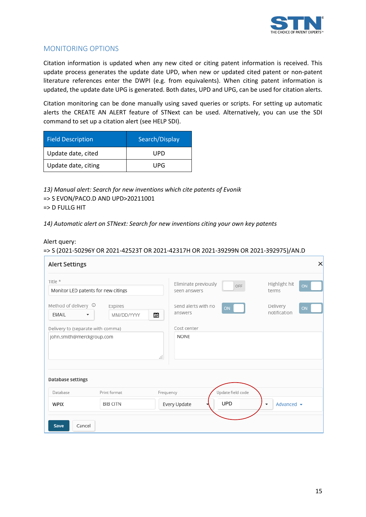

# <span id="page-14-0"></span>MONITORING OPTIONS

Citation information is updated when any new cited or citing patent information is received. This update process generates the update date UPD, when new or updated cited patent or non-patent literature references enter the DWPI (e.g. from equivalents). When citing patent information is updated, the update date UPG is generated. Both dates, UPD and UPG, can be used for citation alerts.

Citation monitoring can be done manually using saved queries or scripts. For setting up automatic alerts the CREATE AN ALERT feature of STNext can be used. Alternatively, you can use the SDI command to set up a citation alert (see HELP SDI).

| <b>Field Description</b> | Search/Display |  |
|--------------------------|----------------|--|
| Update date, cited       | UPD            |  |
| Update date, citing      | UPG            |  |

*13) Manual alert: Search for new inventions which cite patents of Evonik* => S EVON/PACO.D AND UPD>20211001 => D FULLG HIT

*14) Automatic alert on STNext: Search for new inventions citing your own key patents*

#### Alert query:

#### => S (2021-50296Y OR 2021-42523T OR 2021-42317H OR 2021-39299N OR 2021-392975)/AN.D

| <b>Alert Settings</b>                                          |                       | $\times$                                                                    |
|----------------------------------------------------------------|-----------------------|-----------------------------------------------------------------------------|
| Title *<br>Monitor LED patents for new citings                 |                       | Eliminate previously<br>Highlight hit<br>ON<br>OFF<br>terms<br>seen answers |
| Method of delivery $\circledcirc$<br>EMAIL<br>▼                | Expires<br>MM/DD/YYYY | Send alerts with no<br>Delivery<br>ON<br>ON<br>notification<br>answers<br>圖 |
| Delivery to (separate with comma)<br>john.smith@merckgroup.com |                       | Cost center<br><b>NONE</b>                                                  |
|                                                                |                       | al.                                                                         |
| Database settings                                              |                       |                                                                             |
| Database                                                       | Print format          | Update field code<br>Frequency                                              |
| <b>WPIX</b>                                                    | <b>BIB CITN</b>       | <b>UPD</b><br>Advanced $\sim$<br>Every Update<br>۰                          |
| Cancel<br>Save                                                 |                       |                                                                             |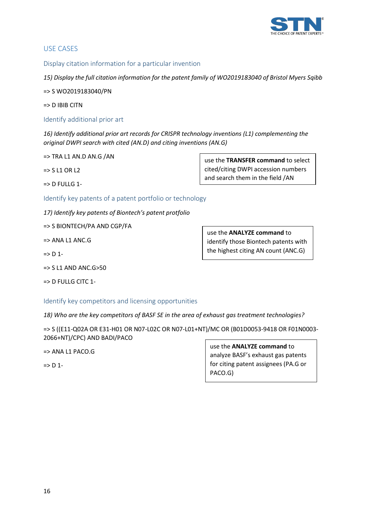

#### <span id="page-15-0"></span>USE CASES

<span id="page-15-1"></span>Display citation information for a particular invention

*15) Display the full citation information for the patent family of WO2019183040 of Bristol Myers Sqibb*

=> S WO2019183040/PN

=> D IBIB CITN

<span id="page-15-2"></span>Identify additional prior art

*16) Identify additional prior art records for CRISPR technology inventions (L1) complementing the original DWPI search with cited (AN.D) and citing inventions (AN.G)*

 $\Rightarrow$  TRA L1 AN.D AN.G /AN

=> S L1 OR L2

=> D FULLG 1-

<span id="page-15-3"></span>Identify key patents of a patent portfolio or technology

*17) Identify key patents of Biontech's patent protfolio*

=> S BIONTECH/PA AND CGP/FA

 $\Rightarrow$  ANA L1 ANC.G

 $\Rightarrow$  D 1-

 $\approx$  S L1 AND ANC. G $>$ 50

 $=$   $>$  D FULLG CITC 1-

<span id="page-15-4"></span>Identify key competitors and licensing opportunities

*18) Who are the key competitors of BASF SE in the area of exhaust gas treatment technologies?*

=> S ((E11-Q02A OR E31-H01 OR N07-L02C OR N07-L01+NT)/MC OR (B01D0053-9418 OR F01N0003- 2066+NT)/CPC) AND BADI/PACO

=> ANA L1 PACO.G

 $\Rightarrow$  D 1-

use the **ANALYZE command** to analyze BASF's exhaust gas patents for citing patent assignees (PA.G or PACO.G)

use the **TRANSFER command** to select cited/citing DWPI accession numbers and search them in the field /AN

use the **ANALYZE command** to

identify those Biontech patents with the highest citing AN count (ANC.G)